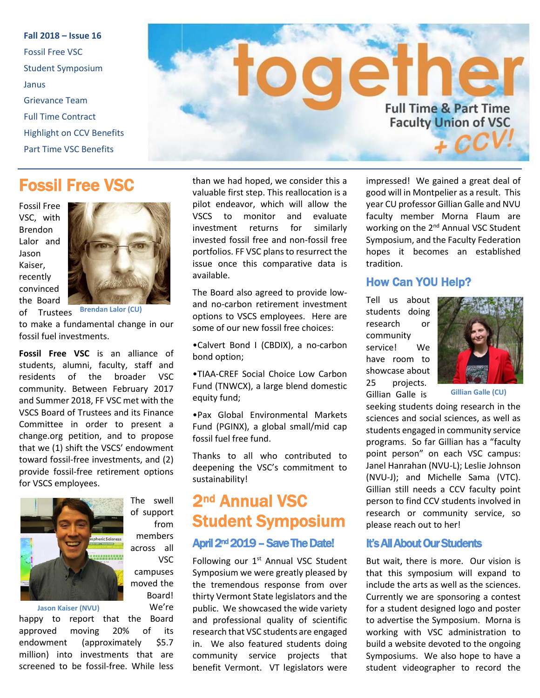**Fall 2018 – Issue 16** Fossil Free VSC Student Symposium Janus Grievance Team Full Time Contract Highlight on CCV Benefits Part Time VSC Benefits



## Fossil Free VSC

Fossil Free VSC, with Brendon Lalor and Jason Kaiser, recently convinced the Board



of Trustees **Brendan Lalor (CU)**

to make a fundamental change in our fossil fuel investments.

**Fossil Free VSC** is an alliance of students, alumni, faculty, staff and residents of the broader VSC community. Between February 2017 and Summer 2018, FF VSC met with the VSCS Board of Trustees and its Finance Committee in order to present a change.org petition, and to propose that we (1) shift the VSCS' endowment toward fossil-free investments, and (2) provide fossil-free retirement options for VSCS employees.



The swell of support from members across all VSC campuses moved the Board! We're

**Jason Kaiser (NVU)**

happy to report that the Board approved moving 20% of its endowment (approximately \$5.7 million) into investments that are screened to be fossil-free. While less

than we had hoped, we consider this a valuable first step. This reallocation is a pilot endeavor, which will allow the VSCS to monitor and evaluate investment returns for similarly invested fossil free and non-fossil free portfolios. FF VSC plans to resurrect the issue once this comparative data is available.

The Board also agreed to provide lowand no-carbon retirement investment options to VSCS employees. Here are some of our new fossil free choices:

•Calvert Bond I (CBDIX), a no-carbon bond option;

•TIAA-CREF Social Choice Low Carbon Fund (TNWCX), a large blend domestic equity fund;

•Pax Global Environmental Markets Fund (PGINX), a global small/mid cap fossil fuel free fund.

Thanks to all who contributed to deepening the VSC's commitment to sustainability!

# 2nd Annual VSC Student Symposium

#### April 2nd 2019 – Save The Date!

Following our 1<sup>st</sup> Annual VSC Student Symposium we were greatly pleased by the tremendous response from over thirty Vermont State legislators and the public. We showcased the wide variety and professional quality of scientific research that VSC students are engaged in. We also featured students doing community service projects that benefit Vermont. VT legislators were

impressed! We gained a great deal of good will in Montpelier as a result. This year CU professor Gillian Galle and NVU faculty member Morna Flaum are working on the 2<sup>nd</sup> Annual VSC Student Symposium, and the Faculty Federation hopes it becomes an established tradition.

#### How Can YOU Help?

Tell us about students doing research or community service! We have room to showcase about 25 projects. Gillian Galle is



**Gillian Galle (CU)**

seeking students doing research in the sciences and social sciences, as well as students engaged in community service programs. So far Gillian has a "faculty point person" on each VSC campus: Janel Hanrahan (NVU-L); Leslie Johnson (NVU-J); and Michelle Sama (VTC). Gillian still needs a CCV faculty point person to find CCV students involved in research or community service, so please reach out to her!

#### It's All About Our Students

But wait, there is more. Our vision is that this symposium will expand to include the arts as well as the sciences. Currently we are sponsoring a contest for a student designed logo and poster to advertise the Symposium. Morna is working with VSC administration to build a website devoted to the ongoing Symposiums. We also hope to have a student videographer to record the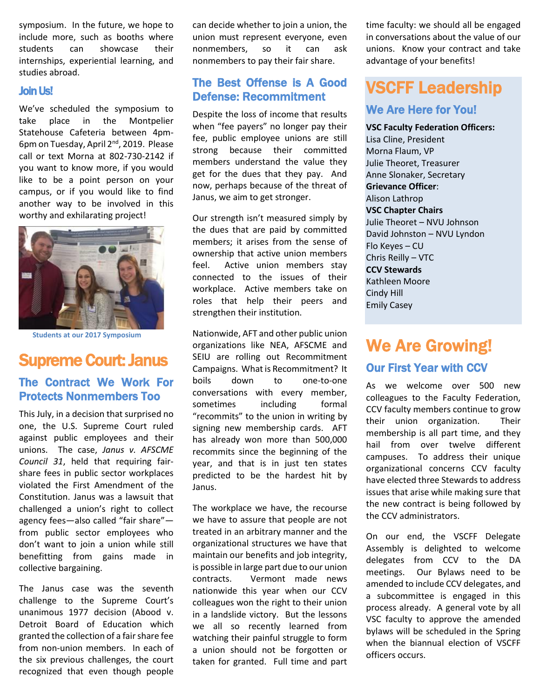symposium. In the future, we hope to include more, such as booths where students can showcase their internships, experiential learning, and studies abroad.

#### Join Us!

We've scheduled the symposium to take place in the Montpelier Statehouse Cafeteria between 4pm-6pm on Tuesday, April 2nd, 2019. Please call or text Morna at 802-730-2142 if you want to know more, if you would like to be a point person on your campus, or if you would like to find another way to be involved in this worthy and exhilarating project!



**Students at our 2017 Symposium**

## Supreme Court: Janus

### The Contract We Work For Protects Nonmembers Too

This July, in a decision that surprised no one, the U.S. Supreme Court ruled against public employees and their unions. The case, *Janus v. AFSCME Council 31*, held that requiring fairshare fees in public sector workplaces violated the First Amendment of the Constitution. Janus was a lawsuit that challenged a union's right to collect agency fees—also called "fair share" from public sector employees who don't want to join a union while still benefitting from gains made in collective bargaining.

The Janus case was the seventh challenge to the Supreme Court's unanimous 1977 decision (Abood v. Detroit Board of Education which granted the collection of a fair share fee from non-union members. In each of the six previous challenges, the court recognized that even though people can decide whether to join a union, the union must represent everyone, even nonmembers, so it can ask nonmembers to pay their fair share.

#### The Best Offense is A Good Defense: Recommitment

Despite the loss of income that results when "fee payers" no longer pay their fee, public employee unions are still strong because their committed members understand the value they get for the dues that they pay. And now, perhaps because of the threat of Janus, we aim to get stronger.

Our strength isn't measured simply by the dues that are paid by committed members; it arises from the sense of ownership that active union members feel. Active union members stay connected to the issues of their workplace. Active members take on roles that help their peers and strengthen their institution.

Nationwide, AFT and other public union organizations like NEA, AFSCME and SEIU are rolling out Recommitment Campaigns. What is Recommitment? It boils down to one-to-one conversations with every member, sometimes including formal "recommits" to the union in writing by signing new membership cards. AFT has already won more than 500,000 recommits since the beginning of the year, and that is in just ten states predicted to be the hardest hit by Janus.

The workplace we have, the recourse we have to assure that people are not treated in an arbitrary manner and the organizational structures we have that maintain our benefits and job integrity, is possible in large part due to our union contracts. Vermont made news nationwide this year when our CCV colleagues won the right to their union in a landslide victory. But the lessons we all so recently learned from watching their painful struggle to form a union should not be forgotten or taken for granted. Full time and part time faculty: we should all be engaged in conversations about the value of our unions. Know your contract and take advantage of your benefits!

## VSCFF Leadership We Are Here for You!

**VSC Faculty Federation Officers:** Lisa Cline, President Morna Flaum, VP Julie Theoret, Treasurer Anne Slonaker, Secretary **Grievance Officer**: Alison Lathrop **VSC Chapter Chairs** Julie Theoret – NVU Johnson David Johnston – NVU Lyndon Flo Keyes – CU Chris Reilly – VTC **CCV Stewards**  Kathleen Moore Cindy Hill Emily Casey

# We Are Growing!

#### Our First Year with CCV

As we welcome over 500 new colleagues to the Faculty Federation, CCV faculty members continue to grow their union organization. Their membership is all part time, and they hail from over twelve different campuses. To address their unique organizational concerns CCV faculty have elected three Stewards to address issues that arise while making sure that the new contract is being followed by the CCV administrators.

On our end, the VSCFF Delegate Assembly is delighted to welcome delegates from CCV to the DA meetings. Our Bylaws need to be amended to include CCV delegates, and a subcommittee is engaged in this process already. A general vote by all VSC faculty to approve the amended bylaws will be scheduled in the Spring when the biannual election of VSCFF officers occurs.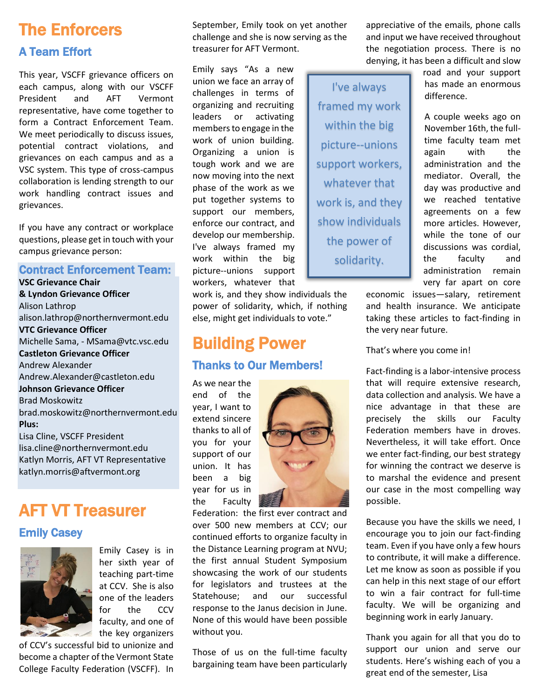# The Enforcers A Team Effort

This year, VSCFF grievance officers on each campus, along with our VSCFF President and AFT Vermont representative, have come together to form a Contract Enforcement Team. We meet periodically to discuss issues, potential contract violations, and grievances on each campus and as a VSC system. This type of cross-campus collaboration is lending strength to our work handling contract issues and grievances.

If you have any contract or workplace questions, please get in touch with your campus grievance person:

#### Contract Enforcement Team:

**VSC Grievance Chair & Lyndon Grievance Officer** Alison Lathrop [alison.lathrop@northernvermont.edu](mailto:alison.lathrop@northernvermont.edu) **VTC Grievance Officer** Michelle Sama, - MSama@vtc.vsc.edu **Castleton Grievance Officer** Andrew Alexander Andrew.Alexander@castleton.edu **Johnson Grievance Officer** Brad Moskowitz brad.moskowitz@northernvermont.edu **Plus:** Lisa Cline, VSCFF President lisa.cline@northernvermont.edu Katlyn Morris, AFT VT Representative [katlyn.morris@aftvermont.org](mailto:katlyn.morris@aftvermont.org)

# AFT VT Treasurer

#### Emily Casey



Emily Casey is in her sixth year of teaching part-time at CCV. She is also one of the leaders for the CCV faculty, and one of the key organizers

of CCV's successful bid to unionize and become a chapter of the Vermont State College Faculty Federation (VSCFF). In September, Emily took on yet another challenge and she is now serving as the treasurer for AFT Vermont.

Emily says "As a new union we face an array of challenges in terms of organizing and recruiting leaders or activating members to engage in the work of union building. Organizing a union is tough work and we are now moving into the next phase of the work as we put together systems to support our members, enforce our contract, and develop our membership. I've always framed my work within the big picture--unions support workers, whatever that

work is, and they show individuals the power of solidarity, which, if nothing else, might get individuals to vote."

# Building Power Thanks to Our Members!

As we near the end of the year, I want to extend sincere thanks to all of you for your support of our union. It has been a big year for us in the Faculty



Federation: the first ever contract and over 500 new members at CCV; our continued efforts to organize faculty in the Distance Learning program at NVU; the first annual Student Symposium showcasing the work of our students for legislators and trustees at the Statehouse; and our successful response to the Janus decision in June. None of this would have been possible without you.

Those of us on the full-time faculty bargaining team have been particularly

appreciative of the emails, phone calls and input we have received throughout the negotiation process. There is no denying, it has been a difficult and slow

I've always framed my work within the big picture--unions support workers, whatever that work is, and they show individuals the power of solidarity.

road and your support has made an enormous difference.

A couple weeks ago on November 16th, the fulltime faculty team met again with the administration and the mediator. Overall, the day was productive and we reached tentative agreements on a few more articles. However, while the tone of our discussions was cordial, the faculty and administration remain very far apart on core

economic issues—salary, retirement and health insurance. We anticipate taking these articles to fact-finding in the very near future.

That's where you come in!

Fact-finding is a labor-intensive process that will require extensive research, data collection and analysis. We have a nice advantage in that these are precisely the skills our Faculty Federation members have in droves. Nevertheless, it will take effort. Once we enter fact-finding, our best strategy for winning the contract we deserve is to marshal the evidence and present our case in the most compelling way possible.

Because you have the skills we need, I encourage you to join our fact-finding team. Even if you have only a few hours to contribute, it will make a difference. Let me know as soon as possible if you can help in this next stage of our effort to win a fair contract for full-time faculty. We will be organizing and beginning work in early January.

Thank you again for all that you do to support our union and serve our students. Here's wishing each of you a great end of the semester, Lisa